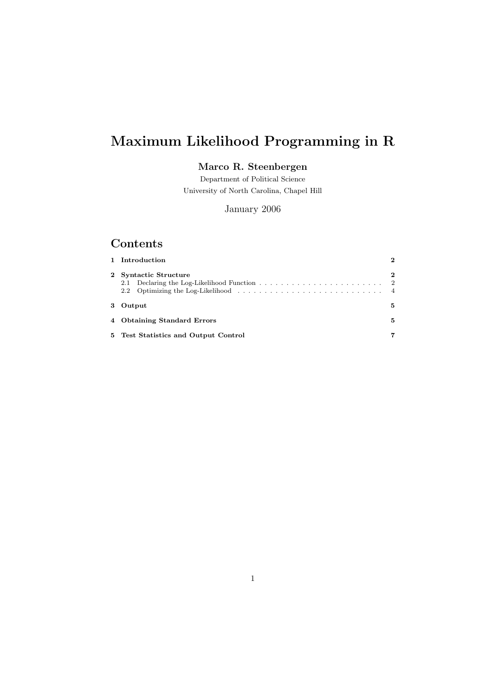# Maximum Likelihood Programming in R

## Marco R. Steenbergen

Department of Political Science University of North Carolina, Chapel Hill

January 2006

## Contents

|                | 1 Introduction                       | $\mathbf{2}$   |
|----------------|--------------------------------------|----------------|
| $\mathbf{2}^-$ | Syntactic Structure                  | $\overline{2}$ |
| $\mathbf{3}$   | Output                               | 5.             |
|                | 4 Obtaining Standard Errors          | 5              |
|                | 5 Test Statistics and Output Control |                |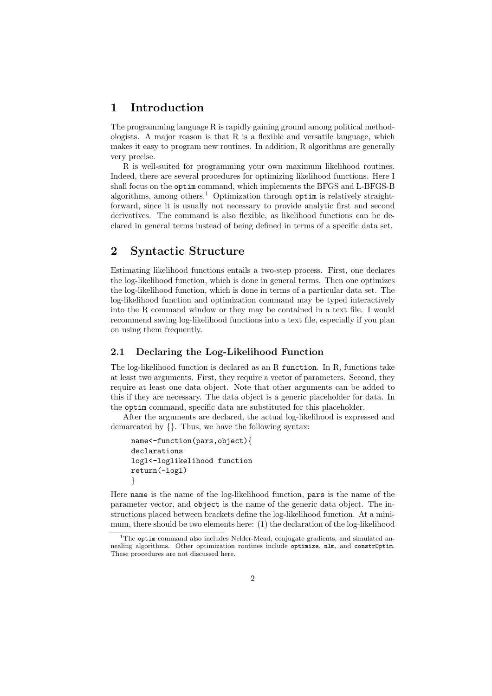## 1 Introduction

The programming language R is rapidly gaining ground among political methodologists. A major reason is that  $R$  is a flexible and versatile language, which makes it easy to program new routines. In addition, R algorithms are generally very precise.

R is well-suited for programming your own maximum likelihood routines. Indeed, there are several procedures for optimizing likelihood functions. Here I shall focus on the optim command, which implements the BFGS and L-BFGS-B algorithms, among others.<sup>1</sup> Optimization through optim is relatively straightforward, since it is usually not necessary to provide analytic first and second derivatives. The command is also flexible, as likelihood functions can be declared in general terms instead of being defined in terms of a specific data set.

## 2 Syntactic Structure

Estimating likelihood functions entails a two-step process. First, one declares the log-likelihood function, which is done in general terms. Then one optimizes the log-likelihood function, which is done in terms of a particular data set. The log-likelihood function and optimization command may be typed interactively into the R command window or they may be contained in a text file. I would recommend saving log-likelihood functions into a text file, especially if you plan on using them frequently.

#### 2.1 Declaring the Log-Likelihood Function

The log-likelihood function is declared as an R function. In R, functions take at least two arguments. First, they require a vector of parameters. Second, they require at least one data object. Note that other arguments can be added to this if they are necessary. The data object is a generic placeholder for data. In the optim command, specific data are substituted for this placeholder.

After the arguments are declared, the actual log-likelihood is expressed and demarcated by {}. Thus, we have the following syntax:

name<-function(pars,object){ declarations logl<-loglikelihood function return(-logl) }

Here name is the name of the log-likelihood function, pars is the name of the parameter vector, and object is the name of the generic data object. The instructions placed between brackets define the log-likelihood function. At a minimum, there should be two elements here: (1) the declaration of the log-likelihood

<sup>&</sup>lt;sup>1</sup>The optim command also includes Nelder-Mead, conjugate gradients, and simulated annealing algorithms. Other optimization routines include optimize, nlm, and constrOptim. These procedures are not discussed here.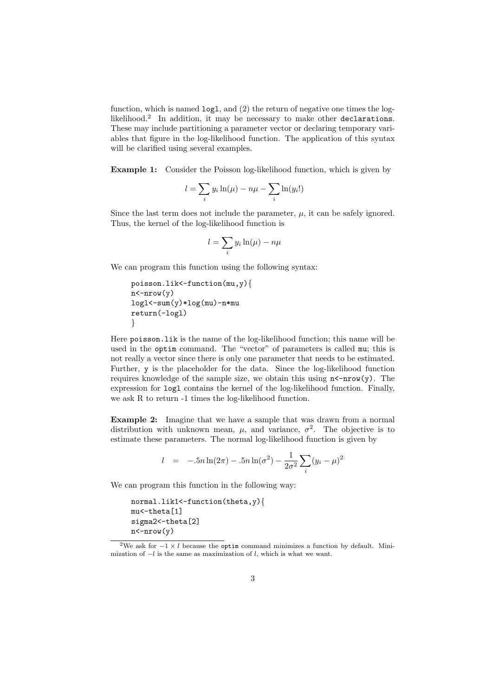function, which is named  $log1$ , and  $(2)$  the return of negative one times the loglikelihood.<sup>2</sup> In addition, it may be necessary to make other declarations. These may include partitioning a parameter vector or declaring temporary variables that figure in the log-likelihood function. The application of this syntax will be clarified using several examples.

Example 1: Consider the Poisson log-likelihood function, which is given by

$$
l = \sum_{i} y_i \ln(\mu) - n\mu - \sum_{i} \ln(y_i!)
$$

Since the last term does not include the parameter,  $\mu$ , it can be safely ignored. Thus, the kernel of the log-likelihood function is

$$
l = \sum_{i} y_i \ln(\mu) - n\mu
$$

We can program this function using the following syntax:

```
poisson.lik<-function(mu,y){
n < -nrow(y)log1<-sum(y)*log(mu)-n*mureturn(-logl)
}
```
Here poisson.lik is the name of the log-likelihood function; this name will be used in the optim command. The "vector" of parameters is called mu; this is not really a vector since there is only one parameter that needs to be estimated. Further, y is the placeholder for the data. Since the log-likelihood function requires knowledge of the sample size, we obtain this using  $n < -nrow(y)$ . The expression for logl contains the kernel of the log-likelihood function. Finally, we ask R to return -1 times the log-likelihood function.

Example 2: Imagine that we have a sample that was drawn from a normal distribution with unknown mean,  $\mu$ , and variance,  $\sigma^2$ . The objective is to estimate these parameters. The normal log-likelihood function is given by

$$
l = -5n\ln(2\pi) - 5n\ln(\sigma^2) - \frac{1}{2\sigma^2} \sum_{i} (y_i - \mu)^2
$$

We can program this function in the following way:

```
normal.lik1<-function(theta,y){
mu<-theta[1]
sigma2 <- theta[2]
n < - nrow (v)
```
<sup>&</sup>lt;sup>2</sup>We ask for  $-1 \times l$  because the optim command minimizes a function by default. Minimization of  $-l$  is the same as maximization of  $l$ , which is what we want.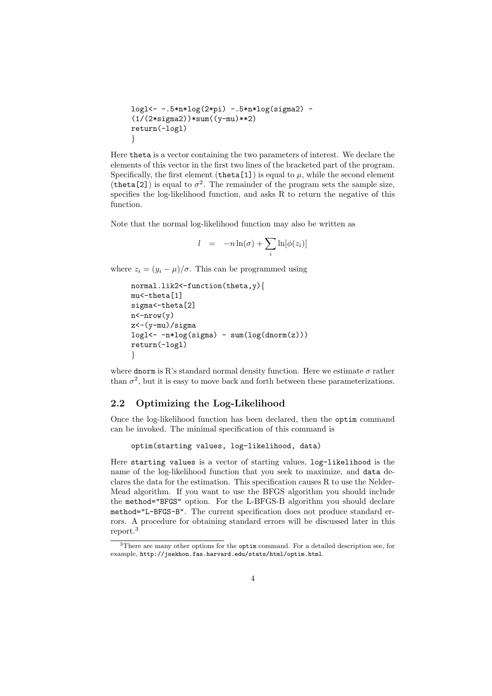```
logl<- -.5*n*log(2*pi) -.5*n*log(sigma2) -
(1/(2*sigma2))*sum((y-mu)**2)return(-logl)
}
```
Here theta is a vector containing the two parameters of interest. We declare the elements of this vector in the first two lines of the bracketed part of the program. Specifically, the first element (theta[1]) is equal to  $\mu$ , while the second element (theta<sup>[2]</sup>) is equal to  $\sigma^2$ . The remainder of the program sets the sample size, specifies the log-likelihood function, and asks R to return the negative of this function.

Note that the normal log-likelihood function may also be written as

$$
l = -n \ln(\sigma) + \sum_{i} \ln[\phi(z_i)]
$$

where  $z_i = (y_i - \mu)/\sigma$ . This can be programmed using

```
normal.lik2<-function(theta,y){
mu<-theta[1]
sigma<-theta[2]
n < - nrow (y)z<-(y-mu)/sigma
logl<- -n*log(sigma) - sum(log(dnorm(z)))
return(-logl)
}
```
where dnorm is R's standard normal density function. Here we estimate  $\sigma$  rather than  $\sigma^2$ , but it is easy to move back and forth between these parameterizations.

#### 2.2 Optimizing the Log-Likelihood

Once the log-likelihood function has been declared, then the optim command can be invoked. The minimal specification of this command is

```
optim(starting values, log-likelihood, data)
```
Here starting values is a vector of starting values, log-likelihood is the name of the log-likelihood function that you seek to maximize, and data declares the data for the estimation. This specification causes R to use the Nelder-Mead algorithm. If you want to use the BFGS algorithm you should include the method="BFGS" option. For the L-BFGS-B algorithm you should declare method="L-BFGS-B". The current specification does not produce standard errors. A procedure for obtaining standard errors will be discussed later in this report.<sup>3</sup>

<sup>3</sup>There are many other options for the optim command. For a detailed description see, for example, http://jsekhon.fas.harvard.edu/stats/html/optim.html.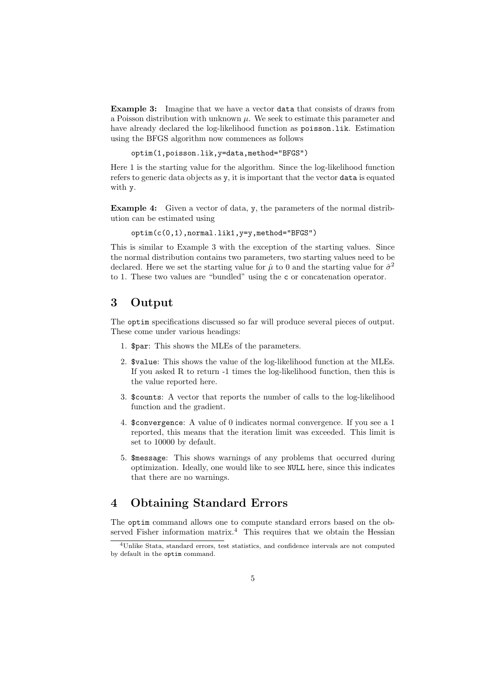Example 3: Imagine that we have a vector data that consists of draws from a Poisson distribution with unknown  $\mu$ . We seek to estimate this parameter and have already declared the log-likelihood function as poisson.lik. Estimation using the BFGS algorithm now commences as follows

optim(1,poisson.lik,y=data,method="BFGS")

Here 1 is the starting value for the algorithm. Since the log-likelihood function refers to generic data objects as y, it is important that the vector data is equated with y.

Example 4: Given a vector of data, y, the parameters of the normal distribution can be estimated using

```
optim(c(0,1),normal.lik1,y=y,method="BFGS")
```
This is similar to Example 3 with the exception of the starting values. Since the normal distribution contains two parameters, two starting values need to be declared. Here we set the starting value for  $\hat{\mu}$  to 0 and the starting value for  $\hat{\sigma}^2$ to 1. These two values are "bundled" using the c or concatenation operator.

## 3 Output

The optim specifications discussed so far will produce several pieces of output. These come under various headings:

- 1. \$par: This shows the MLEs of the parameters.
- 2. \$value: This shows the value of the log-likelihood function at the MLEs. If you asked R to return -1 times the log-likelihood function, then this is the value reported here.
- 3. \$counts: A vector that reports the number of calls to the log-likelihood function and the gradient.
- 4. \$convergence: A value of 0 indicates normal convergence. If you see a 1 reported, this means that the iteration limit was exceeded. This limit is set to 10000 by default.
- 5. \$message: This shows warnings of any problems that occurred during optimization. Ideally, one would like to see NULL here, since this indicates that there are no warnings.

## 4 Obtaining Standard Errors

The optim command allows one to compute standard errors based on the observed Fisher information matrix.<sup>4</sup> This requires that we obtain the Hessian

<sup>4</sup>Unlike Stata, standard errors, test statistics, and confidence intervals are not computed by default in the optim command.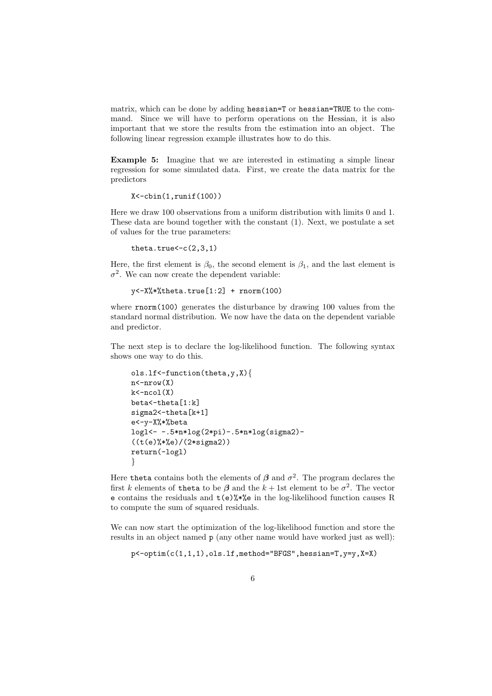matrix, which can be done by adding hessian=T or hessian=TRUE to the command. Since we will have to perform operations on the Hessian, it is also important that we store the results from the estimation into an object. The following linear regression example illustrates how to do this.

Example 5: Imagine that we are interested in estimating a simple linear regression for some simulated data. First, we create the data matrix for the predictors

```
X < -cbin(1,runif(100))
```
Here we draw 100 observations from a uniform distribution with limits 0 and 1. These data are bound together with the constant (1). Next, we postulate a set of values for the true parameters:

```
theta.true<-c(2,3,1)
```
Here, the first element is  $\beta_0$ , the second element is  $\beta_1$ , and the last element is  $\sigma^2$ . We can now create the dependent variable:

 $y < -X\frac{9}{8} * \text{theta}$ .true $[1:2] + \text{norm}(100)$ 

where rnorm(100) generates the disturbance by drawing 100 values from the standard normal distribution. We now have the data on the dependent variable and predictor.

The next step is to declare the log-likelihood function. The following syntax shows one way to do this.

```
ols.lf<-function(theta,y,X){
n < -nrow(X)k < -ncol(X)beta<-theta[1:k]
sigma2<-theta[k+1]
e<-y-X%*%beta
logl<- -.5*n*log(2*pi)-.5*n*log(sigma2)-
((t(e)%*%e)/(2 * signa2))return(-logl)
}
```
Here theta contains both the elements of  $\beta$  and  $\sigma^2$ . The program declares the first k elements of theta to be  $\beta$  and the  $k+1$ st element to be  $\sigma^2$ . The vector e contains the residuals and  $t(e)$ %\*%e in the log-likelihood function causes R to compute the sum of squared residuals.

We can now start the optimization of the log-likelihood function and store the results in an object named p (any other name would have worked just as well):

```
p<-optim(c(1,1,1),ols.lf,method="BFGS",hessian=T,y=y,X=X)
```